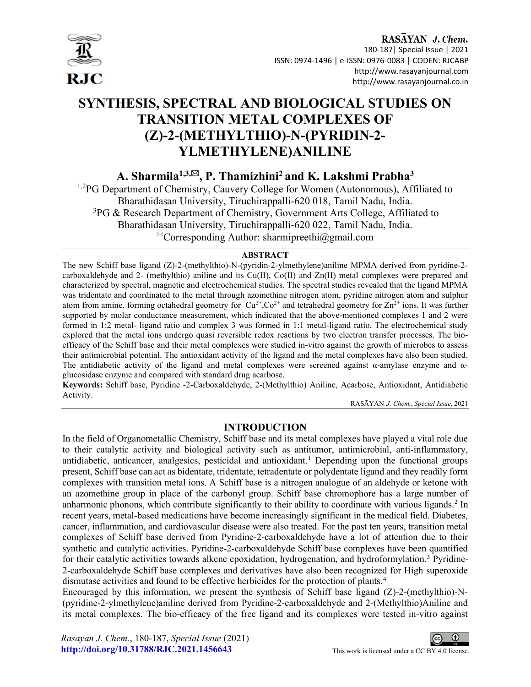

## RASAYAN J. Chem.

 180-187| Special Issue | 2021 ISSN: 0974-1496 | e-ISSN: 0976-0083 | CODEN: RJCABP http://www.rasayanjournal.com http://www.rasayanjournal.co.in

# SYNTHESIS, SPECTRAL AND BIOLOGICAL STUDIES ON TRANSITION METAL COMPLEXES OF (Z)-2-(METHYLTHIO)-N-(PYRIDIN-2- YLMETHYLENE)ANILINE

A. Sharmila $^{1,3,\boxtimes}$ , P. Thamizhini<sup>2</sup> and K. Lakshmi Prabha<sup>3</sup>

<sup>1,2</sup>PG Department of Chemistry, Cauvery College for Women (Autonomous), Affiliated to Bharathidasan University, Tiruchirappalli-620 018, Tamil Nadu, India.  $3PG \&$  Research Department of Chemistry, Government Arts College, Affiliated to Bharathidasan University, Tiruchirappalli-620 022, Tamil Nadu, India.  ${}^{\boxtimes}$ Corresponding Author: sharmipreethi@gmail.com

### ABSTRACT

The new Schiff base ligand (Z)-2-(methylthio)-N-(pyridin-2-ylmethylene)aniline MPMA derived from pyridine-2 carboxaldehyde and 2- (methylthio) aniline and its Cu(II), Co(II) and Zn(II) metal complexes were prepared and characterized by spectral, magnetic and electrochemical studies. The spectral studies revealed that the ligand MPMA was tridentate and coordinated to the metal through azomethine nitrogen atom, pyridine nitrogen atom and sulphur atom from amine, forming octahedral geometry for  $Cu^{2+}$ ,Co<sup>2+</sup> and tetrahedral geometry for  $Zn^{2+}$  ions. It was further supported by molar conductance measurement, which indicated that the above-mentioned complexes 1 and 2 were formed in 1:2 metal- ligand ratio and complex 3 was formed in 1:1 metal-ligand ratio. The electrochemical study explored that the metal ions undergo quasi reversible redox reactions by two electron transfer processes. The bioefficacy of the Schiff base and their metal complexes were studied in-vitro against the growth of microbes to assess their antimicrobial potential. The antioxidant activity of the ligand and the metal complexes have also been studied. The antidiabetic activity of the ligand and metal complexes were screened against  $\alpha$ -amylase enzyme and  $\alpha$ glucosidase enzyme and compared with standard drug acarbose.

Keywords: Schiff base, Pyridine -2-Carboxaldehyde, 2-(Methylthio) Aniline, Acarbose, Antioxidant, Antidiabetic Activity.

RASĀYAN J. Chem., Special Issue, 2021

### INTRODUCTION

In the field of Organometallic Chemistry, Schiff base and its metal complexes have played a vital role due to their catalytic activity and biological activity such as antitumor, antimicrobial, anti-inflammatory, antidiabetic, anticancer, analgesics, pesticidal and antioxidant.<sup>1</sup> Depending upon the functional groups present, Schiff base can act as bidentate, tridentate, tetradentate or polydentate ligand and they readily form complexes with transition metal ions. A Schiff base is a nitrogen analogue of an aldehyde or ketone with an azomethine group in place of the carbonyl group. Schiff base chromophore has a large number of anharmonic phonons, which contribute significantly to their ability to coordinate with various ligands.<sup>2</sup> In recent years, metal-based medications have become increasingly significant in the medical field. Diabetes, cancer, inflammation, and cardiovascular disease were also treated. For the past ten years, transition metal complexes of Schiff base derived from Pyridine-2-carboxaldehyde have a lot of attention due to their synthetic and catalytic activities. Pyridine-2-carboxaldehyde Schiff base complexes have been quantified for their catalytic activities towards alkene epoxidation, hydrogenation, and hydroformylation.<sup>3</sup> Pyridine-2-carboxaldehyde Schiff base complexes and derivatives have also been recognized for High superoxide dismutase activities and found to be effective herbicides for the protection of plants.<sup>4</sup>

Encouraged by this information, we present the synthesis of Schiff base ligand  $(Z)$ -2-(methylthio)-N-(pyridine-2-ylmethylene)aniline derived from Pyridine-2-carboxaldehyde and 2-(Methylthio)Aniline and its metal complexes. The bio-efficacy of the free ligand and its complexes were tested in-vitro against

Rasayan J. Chem., 180-187, Special Issue (2021) http://doi.org/10.31788/RJC.2021.1456643 This work is licensed under a CC BY 4.0 license.

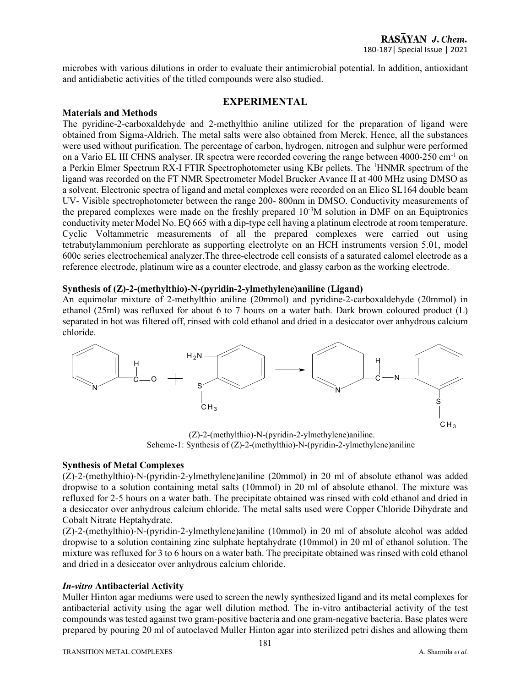microbes with various dilutions in order to evaluate their antimicrobial potential. In addition, antioxidant and antidiabetic activities of the titled compounds were also studied.

### EXPERIMENTAL

#### Materials and Methods

The pyridine-2-carboxaldehyde and 2-methylthio aniline utilized for the preparation of ligand were obtained from Sigma-Aldrich. The metal salts were also obtained from Merck. Hence, all the substances were used without purification. The percentage of carbon, hydrogen, nitrogen and sulphur were performed on a Vario EL III CHNS analyser. IR spectra were recorded covering the range between 4000-250 cm-1 on a Perkin Elmer Spectrum RX-I FTIR Spectrophotometer using KBr pellets. The <sup>1</sup>HNMR spectrum of the ligand was recorded on the FT NMR Spectrometer Model Brucker Avance II at 400 MHz using DMSO as a solvent. Electronic spectra of ligand and metal complexes were recorded on an Elico SL164 double beam UV- Visible spectrophotometer between the range 200- 800nm in DMSO. Conductivity measurements of the prepared complexes were made on the freshly prepared  $10^{-3}$ M solution in DMF on an Equiptronics conductivity meter Model No. EQ 665 with a dip-type cell having a platinum electrode at room temperature. Cyclic Voltammetric measurements of all the prepared complexes were carried out using tetrabutylammonium perchlorate as supporting electrolyte on an HCH instruments version 5.01, model 600c series electrochemical analyzer.The three-electrode cell consists of a saturated calomel electrode as a reference electrode, platinum wire as a counter electrode, and glassy carbon as the working electrode.

### Synthesis of (Z)-2-(methylthio)-N-(pyridin-2-ylmethylene)aniline (Ligand)

An equimolar mixture of 2-methylthio aniline (20mmol) and pyridine-2-carboxaldehyde (20mmol) in ethanol (25ml) was refluxed for about 6 to 7 hours on a water bath. Dark brown coloured product (L) separated in hot was filtered off, rinsed with cold ethanol and dried in a desiccator over anhydrous calcium chloride.



 (Z)-2-(methylthio)-N-(pyridin-2-ylmethylene)aniline. Scheme-1: Synthesis of (Z)-2-(methylthio)-N-(pyridin-2-ylmethylene)aniline

#### Synthesis of Metal Complexes

(Z)-2-(methylthio)-N-(pyridin-2-ylmethylene)aniline (20mmol) in 20 ml of absolute ethanol was added dropwise to a solution containing metal salts (10mmol) in 20 ml of absolute ethanol. The mixture was refluxed for 2-5 hours on a water bath. The precipitate obtained was rinsed with cold ethanol and dried in a desiccator over anhydrous calcium chloride. The metal salts used were Copper Chloride Dihydrate and Cobalt Nitrate Heptahydrate.

(Z)-2-(methylthio)-N-(pyridin-2-ylmethylene)aniline (10mmol) in 20 ml of absolute alcohol was added dropwise to a solution containing zinc sulphate heptahydrate (10mmol) in 20 ml of ethanol solution. The mixture was refluxed for 3 to 6 hours on a water bath. The precipitate obtained was rinsed with cold ethanol and dried in a desiccator over anhydrous calcium chloride.

### In-vitro Antibacterial Activity

Muller Hinton agar mediums were used to screen the newly synthesized ligand and its metal complexes for antibacterial activity using the agar well dilution method. The in-vitro antibacterial activity of the test compounds was tested against two gram-positive bacteria and one gram-negative bacteria. Base plates were prepared by pouring 20 ml of autoclaved Muller Hinton agar into sterilized petri dishes and allowing them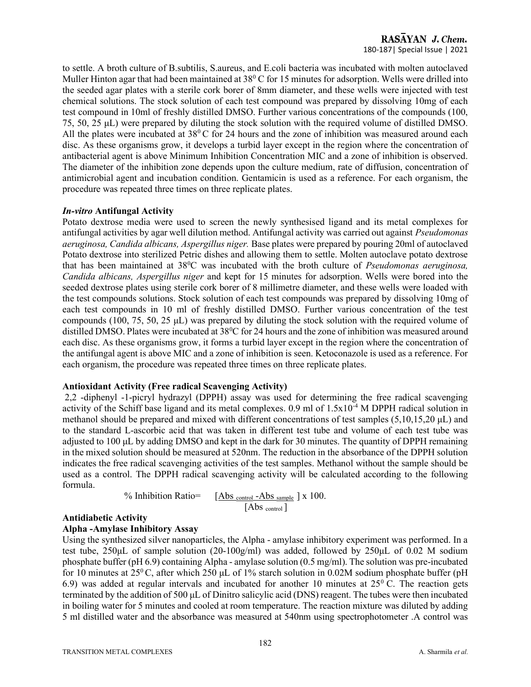to settle. A broth culture of B.subtilis, S.aureus, and E.coli bacteria was incubated with molten autoclaved Muller Hinton agar that had been maintained at  $38^{\circ}$ C for 15 minutes for adsorption. Wells were drilled into the seeded agar plates with a sterile cork borer of 8mm diameter, and these wells were injected with test chemical solutions. The stock solution of each test compound was prepared by dissolving 10mg of each test compound in 10ml of freshly distilled DMSO. Further various concentrations of the compounds (100, 75, 50, 25 μL) were prepared by diluting the stock solution with the required volume of distilled DMSO. All the plates were incubated at  $38^{\circ}$ C for 24 hours and the zone of inhibition was measured around each disc. As these organisms grow, it develops a turbid layer except in the region where the concentration of antibacterial agent is above Minimum Inhibition Concentration MIC and a zone of inhibition is observed. The diameter of the inhibition zone depends upon the culture medium, rate of diffusion, concentration of antimicrobial agent and incubation condition. Gentamicin is used as a reference. For each organism, the procedure was repeated three times on three replicate plates.

### In-vitro Antifungal Activity

Potato dextrose media were used to screen the newly synthesised ligand and its metal complexes for antifungal activities by agar well dilution method. Antifungal activity was carried out against Pseudomonas aeruginosa, Candida albicans, Aspergillus niger. Base plates were prepared by pouring 20ml of autoclaved Potato dextrose into sterilized Petric dishes and allowing them to settle. Molten autoclave potato dextrose that has been maintained at 38<sup>0</sup>C was incubated with the broth culture of *Pseudomonas aeruginosa*, Candida albicans, Aspergillus niger and kept for 15 minutes for adsorption. Wells were bored into the seeded dextrose plates using sterile cork borer of 8 millimetre diameter, and these wells were loaded with the test compounds solutions. Stock solution of each test compounds was prepared by dissolving 10mg of each test compounds in 10 ml of freshly distilled DMSO. Further various concentration of the test compounds (100, 75, 50, 25 μL) was prepared by diluting the stock solution with the required volume of distilled DMSO. Plates were incubated at  $38\textdegree$ C for 24 hours and the zone of inhibition was measured around each disc. As these organisms grow, it forms a turbid layer except in the region where the concentration of the antifungal agent is above MIC and a zone of inhibition is seen. Ketoconazole is used as a reference. For each organism, the procedure was repeated three times on three replicate plates.

### Antioxidant Activity (Free radical Scavenging Activity)

 2,2 -diphenyl -1-picryl hydrazyl (DPPH) assay was used for determining the free radical scavenging activity of the Schiff base ligand and its metal complexes. 0.9 ml of 1.5x10-4 M DPPH radical solution in methanol should be prepared and mixed with different concentrations of test samples (5,10,15,20 μL) and to the standard L-ascorbic acid that was taken in different test tube and volume of each test tube was adjusted to 100 μL by adding DMSO and kept in the dark for 30 minutes. The quantity of DPPH remaining in the mixed solution should be measured at 520nm. The reduction in the absorbance of the DPPH solution indicates the free radical scavenging activities of the test samples. Methanol without the sample should be used as a control. The DPPH radical scavenging activity will be calculated according to the following formula.

<sup>9</sup> Inhibition Ratio=  

$$
\begin{array}{r} [Abs_{control} - Abs_{sample}] x 100. \\ [Abs_{control}] \end{array}
$$

### Antidiabetic Activity

### Αlpha -Amylase Inhibitory Assay

Using the synthesized silver nanoparticles, the Alpha - amylase inhibitory experiment was performed. In a test tube, 250μL of sample solution (20-100g/ml) was added, followed by 250μL of 0.02 M sodium phosphate buffer (pH 6.9) containing Alpha - amylase solution (0.5 mg/ml). The solution was pre-incubated for 10 minutes at  $25^{\circ}$ C, after which  $250 \mu L$  of 1% starch solution in 0.02M sodium phosphate buffer (pH 6.9) was added at regular intervals and incubated for another 10 minutes at  $25^{\circ}$  C. The reaction gets terminated by the addition of 500 μL of Dinitro salicylic acid (DNS) reagent. The tubes were then incubated in boiling water for 5 minutes and cooled at room temperature. The reaction mixture was diluted by adding 5 ml distilled water and the absorbance was measured at 540nm using spectrophotometer .A control was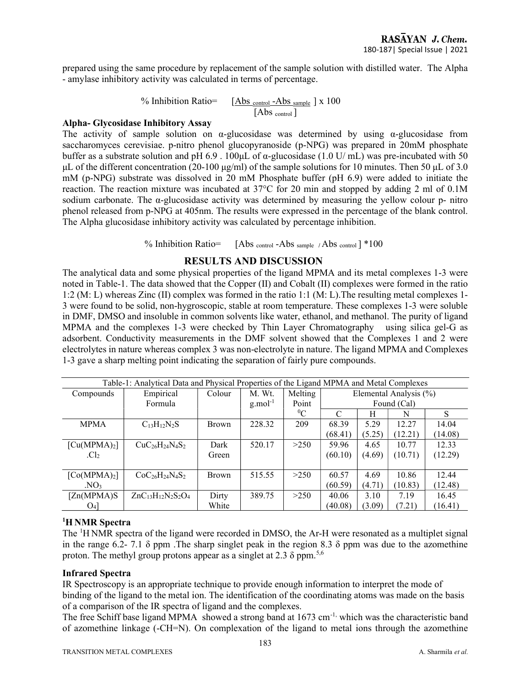prepared using the same procedure by replacement of the sample solution with distilled water. The Alpha - amylase inhibitory activity was calculated in terms of percentage.

% Inhibition Ratio= $\left[ \frac{\text{Abs}_{\text{control}} - \text{Abs}_{\text{sample}}}{\text{Sum}_{\text{D}}} \right]$  x 100  $[Abs_{control}]$ 

#### Αlpha- Glycosidase Inhibitory Assay

The activity of sample solution on α-glucosidase was determined by using α-glucosidase from saccharomyces cerevisiae. p-nitro phenol glucopyranoside (p-NPG) was prepared in 20mM phosphate buffer as a substrate solution and pH 6.9 . 100μL of α-glucosidase (1.0 U/ mL) was pre-incubated with 50 μL of the different concentration (20-100 μg/ml) of the sample solutions for 10 minutes. Then 50 μL of 3.0 mM (p-NPG) substrate was dissolved in 20 mM Phosphate buffer (pH 6.9) were added to initiate the reaction. The reaction mixture was incubated at 37°C for 20 min and stopped by adding 2 ml of 0.1M sodium carbonate. The α-glucosidase activity was determined by measuring the yellow colour p- nitro phenol released from p-NPG at 405nm. The results were expressed in the percentage of the blank control. The Alpha glucosidase inhibitory activity was calculated by percentage inhibition.

% Inhibition Ratio=  $[Abs_{control} - Abs_{sample} / Abs_{control}] * 100$ 

### RESULTS AND DISCUSSION

The analytical data and some physical properties of the ligand MPMA and its metal complexes 1-3 were noted in Table-1. The data showed that the Copper (II) and Cobalt (II) complexes were formed in the ratio 1:2 (M: L) whereas Zinc (II) complex was formed in the ratio 1:1 (M: L).The resulting metal complexes 1- 3 were found to be solid, non-hygroscopic, stable at room temperature. These complexes 1-3 were soluble in DMF, DMSO and insoluble in common solvents like water, ethanol, and methanol. The purity of ligand MPMA and the complexes 1-3 were checked by Thin Layer Chromatography using silica gel-G as adsorbent. Conductivity measurements in the DMF solvent showed that the Complexes 1 and 2 were electrolytes in nature whereas complex 3 was non-electrolyte in nature. The ligand MPMA and Complexes 1-3 gave a sharp melting point indicating the separation of fairly pure compounds.

| Table-1: Analytical Data and Physical Properties of the Ligand MPMA and Metal Complexes |                            |              |                        |         |         |                        |         |         |
|-----------------------------------------------------------------------------------------|----------------------------|--------------|------------------------|---------|---------|------------------------|---------|---------|
| Compounds                                                                               | Empirical                  | Colour       | M. Wt.                 | Melting |         | Elemental Analysis (%) |         |         |
|                                                                                         | Formula                    |              | $g$ .mol <sup>-1</sup> | Point   |         | Found (Cal)            |         |         |
|                                                                                         |                            |              |                        | ${}^0C$ | C       | H                      | N       | S       |
| <b>MPMA</b>                                                                             | $C_{13}H_{12}N_2S$         | <b>Brown</b> | 228.32                 | 209     | 68.39   | 5.29                   | 12.27   | 14.04   |
|                                                                                         |                            |              |                        |         | (68.41) | (5.25)                 | (12.21) | (14.08) |
| $\lceil Cu(MPMA)_2 \rceil$                                                              | $CuC26H24N4S2$             | Dark         | 520.17                 | >250    | 59.96   | 4.65                   | 10.77   | 12.33   |
| C                                                                                       |                            | Green        |                        |         | (60.10) | (4.69)                 | (10.71) | (12.29) |
|                                                                                         |                            |              |                        |         |         |                        |         |         |
| [Co(MPMA) <sub>2</sub> ]                                                                | $CoC_{26}H_{24}N_{4}S_{2}$ | <b>Brown</b> | 515.55                 | >250    | 60.57   | 4.69                   | 10.86   | 12.44   |
| NO <sub>3</sub>                                                                         |                            |              |                        |         | (60.59) | (4.71)                 | (10.83) | (12.48) |
| [Zn(MPMA)S                                                                              | $ZnC_{13}H_{12}N_2S_2O_4$  | Dirty        | 389.75                 | >250    | 40.06   | 3.10                   | 7.19    | 16.45   |
| $O_4$                                                                                   |                            | White        |                        |         | (40.08) | (3.09)                 | (7.21)  | (16.41) |

### <sup>1</sup>H NMR Spectra

The <sup>1</sup>H NMR spectra of the ligand were recorded in DMSO, the Ar-H were resonated as a multiplet signal in the range 6.2- 7.1  $\delta$  ppm. The sharp singlet peak in the region 8.3  $\delta$  ppm was due to the azomethine proton. The methyl group protons appear as a singlet at 2.3  $\delta$  ppm.<sup>5,6</sup>

### Infrared Spectra

IR Spectroscopy is an appropriate technique to provide enough information to interpret the mode of binding of the ligand to the metal ion. The identification of the coordinating atoms was made on the basis of a comparison of the IR spectra of ligand and the complexes.

The free Schiff base ligand MPMA showed a strong band at  $1673 \text{ cm}^{-1}$ , which was the characteristic band of azomethine linkage (-CH=N). On complexation of the ligand to metal ions through the azomethine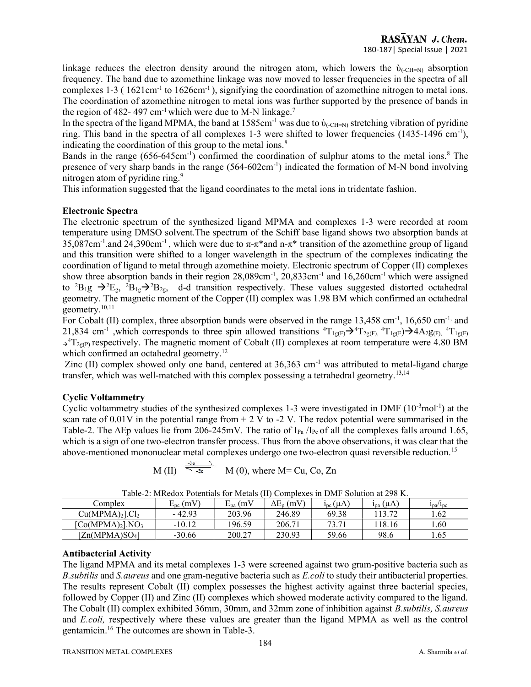linkage reduces the electron density around the nitrogen atom, which lowers the  $\dot{v}_{(CH=0)}$  absorption frequency. The band due to azomethine linkage was now moved to lesser frequencies in the spectra of all complexes  $1-3$  (  $1621 \text{cm}^{-1}$  to  $1626 \text{cm}^{-1}$ ), signifying the coordination of azomethine nitrogen to metal ions. The coordination of azomethine nitrogen to metal ions was further supported by the presence of bands in the region of 482- 497 cm<sup>-1</sup> which were due to M-N linkage.<sup>7</sup>

In the spectra of the ligand MPMA, the band at  $1585 \text{cm}^{-1}$  was due to  $\dot{v}_{\text{CCH-N}}$  stretching vibration of pyridine ring. This band in the spectra of all complexes 1-3 were shifted to lower frequencies (1435-1496 cm-1), indicating the coordination of this group to the metal ions.<sup>8</sup>

Bands in the range  $(656-645cm^{-1})$  confirmed the coordination of sulphur atoms to the metal ions.<sup>8</sup> The presence of very sharp bands in the range (564-602cm<sup>-1</sup>) indicated the formation of M-N bond involving nitrogen atom of pyridine ring.<sup>9</sup>

This information suggested that the ligand coordinates to the metal ions in tridentate fashion.

### Electronic Spectra

The electronic spectrum of the synthesized ligand MPMA and complexes 1-3 were recorded at room temperature using DMSO solvent.The spectrum of the Schiff base ligand shows two absorption bands at 35,087cm<sup>-1</sup>.and 24,390cm<sup>-1</sup>, which were due to  $\pi$ - $\pi$ \* and n- $\pi$ \* transition of the azomethine group of ligand and this transition were shifted to a longer wavelength in the spectrum of the complexes indicating the coordination of ligand to metal through azomethine moiety. Electronic spectrum of Copper (II) complexes show three absorption bands in their region 28,089cm<sup>-1</sup>, 20,833cm<sup>-1</sup> and 16,260cm<sup>-1</sup> which were assigned to <sup>2</sup>B<sub>1</sub>g  $\rightarrow$ <sup>2</sup>E<sub>g</sub>, <sup>2</sup>B<sub>1g</sub> $\rightarrow$ <sup>2</sup>B<sub>2g</sub>, d-d transition respectively. These values suggested distorted octahedral geometry. The magnetic moment of the Copper (II) complex was 1.98 BM which confirmed an octahedral geometry.10,11

For Cobalt (II) complex, three absorption bands were observed in the range 13,458 cm<sup>-1</sup>, 16,650 cm<sup>-1,</sup> and 21,834 cm<sup>-1</sup>, which corresponds to three spin allowed transitions  ${}^4T_{1g(F)} \rightarrow {}^4T_{2g(F)}$ ,  ${}^4T_{1g(F)} \rightarrow {}^4A_{2g(F)}$ ,  ${}^4T_{1g(F)}$  $\rightarrow$ <sup>4</sup>T<sub>2g(P)</sub> respectively. The magnetic moment of Cobalt (II) complexes at room temperature were 4.80 BM which confirmed an octahedral geometry.<sup>12</sup>

Zinc (II) complex showed only one band, centered at  $36,363$  cm<sup>-1</sup> was attributed to metal-ligand charge transfer, which was well-matched with this complex possessing a tetrahedral geometry.<sup>13,14</sup>

### Cyclic Voltammetry

Cyclic voltammetry studies of the synthesized complexes 1-3 were investigated in DMF  $(10^{-3} \text{mol}^{-1})$  at the scan rate of 0.01V in the potential range from  $+ 2$  V to  $-2$  V. The redox potential were summarised in the Table-2. The  $\Delta$ Ep values lie from 206-245mV. The ratio of I<sub>Pa</sub> /I<sub>Pc</sub> of all the complexes falls around 1.65, which is a sign of one two-electron transfer process. Thus from the above observations, it was clear that the above-mentioned mononuclear metal complexes undergo one two-electron quasi reversible reduction.<sup>15</sup>

| Table-2: MRedox Potentials for Metals (II) Complexes in DMF Solution at 298 K.                                                              |          |        |        |       |        |      |  |
|---------------------------------------------------------------------------------------------------------------------------------------------|----------|--------|--------|-------|--------|------|--|
| $\Delta E_p$ (mV)<br>$E_{\rm pc}$ (mV)<br>$E_{pa}$ (mV<br>Complex<br>$i_{pc}(\mu A)$<br>$i_{pa}(\mu A)$<br>1 <sub>pa</sub> /1 <sub>pc</sub> |          |        |        |       |        |      |  |
| $Cu(MPMA)2$ . $Cl2$                                                                                                                         | $-42.93$ | 203.96 | 246.89 | 69.38 | 113.72 | 1.62 |  |
| [Co(MPMA) <sub>2</sub> ].NO <sub>3</sub>                                                                                                    | $-10.12$ | 196.59 | 206.71 | 73.71 | 118.16 | 1.60 |  |
| [Zn(MPMA)SO <sub>4</sub> ]                                                                                                                  | $-30.66$ | 200.27 | 230.93 | 59.66 | 98.6   | 1.65 |  |

$$
M(H) \stackrel{\frac{248}{36}}{344} M(0)
$$
, where M= Cu, Co, Zn

### Antibacterial Activity

The ligand MPMA and its metal complexes 1-3 were screened against two gram-positive bacteria such as B. subtilis and S. aureus and one gram-negative bacteria such as E. coli to study their antibacterial properties. The results represent Cobalt (II) complex possesses the highest activity against three bacterial species, followed by Copper (II) and Zinc (II) complexes which showed moderate activity compared to the ligand. The Cobalt (II) complex exhibited 36mm, 30mm, and 32mm zone of inhibition against B.subtilis, S.aureus and E.coli, respectively where these values are greater than the ligand MPMA as well as the control gentamicin.16 The outcomes are shown in Table-3.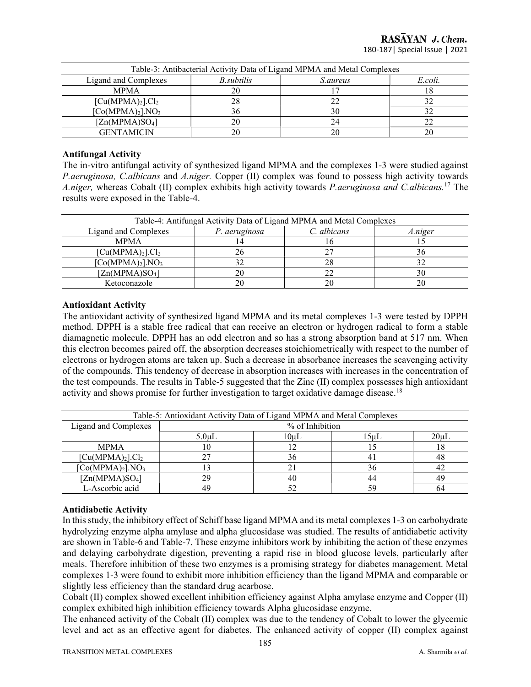RASAYAN J. Chem. 180-187| Special Issue | 2021

| Table-3: Antibacterial Activity Data of Ligand MPMA and Metal Complexes |         |    |    |  |  |  |
|-------------------------------------------------------------------------|---------|----|----|--|--|--|
| Ligand and Complexes                                                    | E.coli. |    |    |  |  |  |
| <b>MPMA</b>                                                             | 20      |    |    |  |  |  |
| [Cu(MPMA) <sub>2</sub> ].Cl <sub>2</sub>                                | 28      | 22 | 32 |  |  |  |
| [Co(MPMA) <sub>2</sub> ].NO <sub>3</sub>                                | 36      | 30 |    |  |  |  |
| [Zn(MPMA)SO <sub>4</sub> ]                                              | 20      | 24 |    |  |  |  |
| <b>GENTAMICIN</b>                                                       | 20      | 20 |    |  |  |  |

#### Antifungal Activity

The in-vitro antifungal activity of synthesized ligand MPMA and the complexes 1-3 were studied against P.aeruginosa, C.albicans and A.niger. Copper (II) complex was found to possess high activity towards A.niger, whereas Cobalt (II) complex exhibits high activity towards *P.aeruginosa and C.albicans.*<sup>17</sup> The results were exposed in the Table-4.

| Table-4: Antifungal Activity Data of Ligand MPMA and Metal Complexes |         |    |    |  |  |  |
|----------------------------------------------------------------------|---------|----|----|--|--|--|
| Ligand and Complexes                                                 | A.niger |    |    |  |  |  |
| <b>MPMA</b>                                                          |         |    |    |  |  |  |
| [Cu(MPMA) <sub>2</sub> ].Cl <sub>2</sub>                             | 26      |    | 36 |  |  |  |
| [Co(MPMA) <sub>2</sub> ].NO <sub>3</sub>                             | 32      | 28 |    |  |  |  |
| [Zn(MPMA)SO <sub>4</sub> ]                                           | 20      |    | 30 |  |  |  |
| Ketoconazole                                                         | 20      |    | 20 |  |  |  |

### Antioxidant Activity

The antioxidant activity of synthesized ligand MPMA and its metal complexes 1-3 were tested by DPPH method. DPPH is a stable free radical that can receive an electron or hydrogen radical to form a stable diamagnetic molecule. DPPH has an odd electron and so has a strong absorption band at 517 nm. When this electron becomes paired off, the absorption decreases stoichiometrically with respect to the number of electrons or hydrogen atoms are taken up. Such a decrease in absorbance increases the scavenging activity of the compounds. This tendency of decrease in absorption increases with increases in the concentration of the test compounds. The results in Table-5 suggested that the Zinc (II) complex possesses high antioxidant activity and shows promise for further investigation to target oxidative damage disease.<sup>18</sup>

| Table-5: Antioxidant Activity Data of Ligand MPMA and Metal Complexes |                                                |    |    |    |  |  |
|-----------------------------------------------------------------------|------------------------------------------------|----|----|----|--|--|
| Ligand and Complexes                                                  | % of Inhibition                                |    |    |    |  |  |
|                                                                       | $20 \mu L$<br>5.0 <sub>µ</sub><br>10uL<br>15uL |    |    |    |  |  |
| <b>MPMA</b>                                                           |                                                |    |    |    |  |  |
| [Cu(MPMA) <sub>2</sub> ].Cl <sub>2</sub>                              |                                                | 36 |    | 48 |  |  |
| [Co(MPMA) <sub>2</sub> ].NO <sub>3</sub>                              |                                                | 21 | 36 |    |  |  |
| [Zn(MPMA)SO <sub>4</sub> ]                                            | 29                                             | 40 | 44 | 49 |  |  |
| L-Ascorbic acid                                                       | 49                                             |    |    | 64 |  |  |

#### Antidiabetic Activity

In this study, the inhibitory effect of Schiff base ligand MPMA and its metal complexes 1-3 on carbohydrate hydrolyzing enzyme alpha amylase and alpha glucosidase was studied. The results of antidiabetic activity are shown in Table-6 and Table-7. These enzyme inhibitors work by inhibiting the action of these enzymes and delaying carbohydrate digestion, preventing a rapid rise in blood glucose levels, particularly after meals. Therefore inhibition of these two enzymes is a promising strategy for diabetes management. Metal complexes 1-3 were found to exhibit more inhibition efficiency than the ligand MPMA and comparable or slightly less efficiency than the standard drug acarbose.

Cobalt (II) complex showed excellent inhibition efficiency against Alpha amylase enzyme and Copper (II) complex exhibited high inhibition efficiency towards Alpha glucosidase enzyme.

The enhanced activity of the Cobalt (II) complex was due to the tendency of Cobalt to lower the glycemic level and act as an effective agent for diabetes. The enhanced activity of copper (II) complex against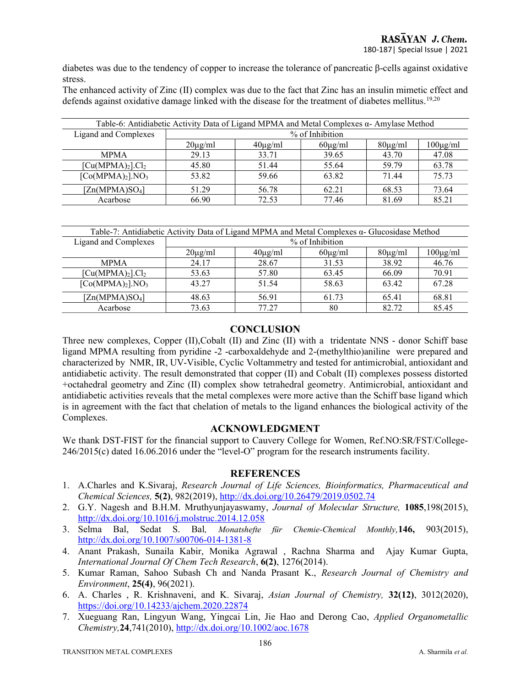diabetes was due to the tendency of copper to increase the tolerance of pancreatic β-cells against oxidative stress.

The enhanced activity of Zinc (II) complex was due to the fact that Zinc has an insulin mimetic effect and defends against oxidative damage linked with the disease for the treatment of diabetes mellitus.<sup>19,20</sup>

| Table-6: Antidiabetic Activity Data of Ligand MPMA and Metal Complexes $\alpha$ - Amylase Method |                 |                                                               |       |       |       |  |  |
|--------------------------------------------------------------------------------------------------|-----------------|---------------------------------------------------------------|-------|-------|-------|--|--|
| Ligand and Complexes                                                                             | % of Inhibition |                                                               |       |       |       |  |  |
|                                                                                                  | $20\mu g/ml$    | $100\mu g/ml$<br>$60\mu g/ml$<br>$40\mu g/ml$<br>$80\mu g/ml$ |       |       |       |  |  |
| <b>MPMA</b>                                                                                      | 29.13           | 33.71                                                         | 39.65 | 43.70 | 47.08 |  |  |
| [Cu(MPMA) <sub>2</sub> ].Cl <sub>2</sub>                                                         | 45.80           | 51.44                                                         | 55.64 | 59.79 | 63.78 |  |  |
| [Co(MPMA) <sub>2</sub> ].NO <sub>3</sub>                                                         | 53.82           | 59.66                                                         | 63.82 | 71.44 | 75.73 |  |  |
| [Zn(MPMA)SO <sub>4</sub> ]                                                                       | 51.29           | 56.78                                                         | 62.21 | 68.53 | 73.64 |  |  |
| Acarbose                                                                                         | 66.90           | 72.53                                                         | 77.46 | 81.69 | 85.21 |  |  |

|  | 2-7: Antidiabetic Activity Data of Ligand MPMA and Metal Complexes $\alpha$ - Glucosidase Method |
|--|--------------------------------------------------------------------------------------------------|
|  | .                                                                                                |

| Ligand and Complexes                     | % of Inhibition |              |              |              |               |  |
|------------------------------------------|-----------------|--------------|--------------|--------------|---------------|--|
|                                          | $20\mu g/ml$    | $40\mu g/ml$ | $60\mu g/ml$ | $80\mu g/ml$ | $100\mu g/ml$ |  |
| <b>MPMA</b>                              | 24.17           | 28.67        | 31.53        | 38.92        | 46.76         |  |
| [Cu(MPMA) <sub>2</sub> ].Cl <sub>2</sub> | 53.63           | 57.80        | 63.45        | 66.09        | 70.91         |  |
| [Co(MPMA) <sub>2</sub> ].NO <sub>3</sub> | 43.27           | 51.54        | 58.63        | 63.42        | 67.28         |  |
| [Zn(MPMA)SO <sub>4</sub> ]               | 48.63           | 56.91        | 61.73        | 65.41        | 68.81         |  |
| Acarbose                                 | 73.63           | 77.27        | 80           | 82.72        | 85.45         |  |

### **CONCLUSION**

Three new complexes, Copper (II),Cobalt (II) and Zinc (II) with a tridentate NNS - donor Schiff base ligand MPMA resulting from pyridine -2 -carboxaldehyde and 2-(methylthio)aniline were prepared and characterized by NMR, IR, UV-Visible, Cyclic Voltammetry and tested for antimicrobial, antioxidant and antidiabetic activity. The result demonstrated that copper (II) and Cobalt (II) complexes possess distorted +octahedral geometry and Zinc (II) complex show tetrahedral geometry. Antimicrobial, antioxidant and antidiabetic activities reveals that the metal complexes were more active than the Schiff base ligand which is in agreement with the fact that chelation of metals to the ligand enhances the biological activity of the Complexes.

### ACKNOWLEDGMENT

We thank DST-FIST for the financial support to Cauvery College for Women, Ref.NO:SR/FST/College-246/2015(c) dated 16.06.2016 under the "level-O" program for the research instruments facility.

### **REFERENCES**

- 1. A.Charles and K.Sivaraj, Research Journal of Life Sciences, Bioinformatics, Pharmaceutical and Chemical Sciences, 5(2), 982(2019), http://dx.doi.org/10.26479/2019.0502.74
- 2. G.Y. Nagesh and B.H.M. Mruthyunjayaswamy, Journal of Molecular Structure, 1085,198(2015), http://dx.doi.org/10.1016/j.molstruc.2014.12.058
- 3. Selma Bal, Sedat S. Bal, Monatshefte für Chemie-Chemical Monthly,146, 903(2015), http://dx.doi.org/10.1007/s00706-014-1381-8
- 4. Anant Prakash, Sunaila Kabir, Monika Agrawal , Rachna Sharma and Ajay Kumar Gupta, International Journal Of Chem Tech Research, 6(2), 1276(2014).
- 5. Kumar Raman, Sahoo Subash Ch and Nanda Prasant K., Research Journal of Chemistry and Environment, 25(4), 96(2021).
- 6. A. Charles , R. Krishnaveni, and K. Sivaraj, Asian Journal of Chemistry, 32(12), 3012(2020), https://doi.org/10.14233/ajchem.2020.22874
- 7. Xueguang Ran, Lingyun Wang, Yingcai Lin, Jie Hao and Derong Cao, Applied Organometallic Chemistry,24,741(2010), http://dx.doi.org/10.1002/aoc.1678